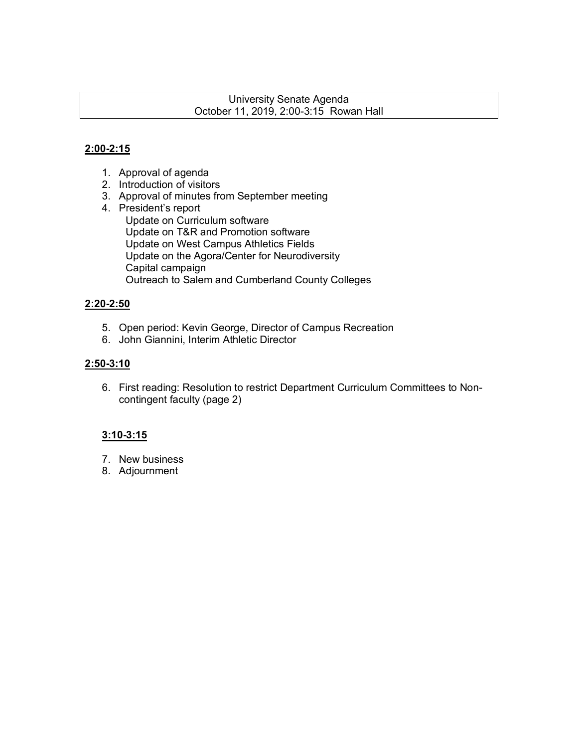#### University Senate Agenda October 11, 2019, 2:00-3:15 Rowan Hall

#### **2:00-2:15**

- 1. Approval of agenda
- 2. Introduction of visitors
- 3. Approval of minutes from September meeting
- 4. President's report Update on Curriculum software Update on T&R and Promotion software Update on West Campus Athletics Fields Update on the Agora/Center for Neurodiversity Capital campaign Outreach to Salem and Cumberland County Colleges

#### **2:20-2:50**

- 5. Open period: Kevin George, Director of Campus Recreation
- 6. John Giannini, Interim Athletic Director

#### **2:50-3:10**

6. First reading: Resolution to restrict Department Curriculum Committees to Noncontingent faculty (page 2)

#### **3:10-3:15**

- 7. New business
- 8. Adjournment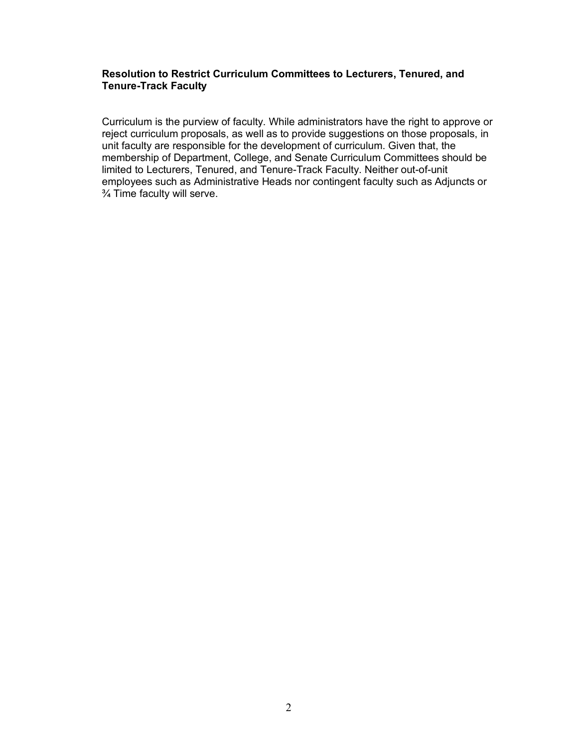#### **Resolution to Restrict Curriculum Committees to Lecturers, Tenured, and Tenure-Track Faculty**

Curriculum is the purview of faculty. While administrators have the right to approve or reject curriculum proposals, as well as to provide suggestions on those proposals, in unit faculty are responsible for the development of curriculum. Given that, the membership of Department, College, and Senate Curriculum Committees should be limited to Lecturers, Tenured, and Tenure-Track Faculty. Neither out-of-unit employees such as Administrative Heads nor contingent faculty such as Adjuncts or ¾ Time faculty will serve.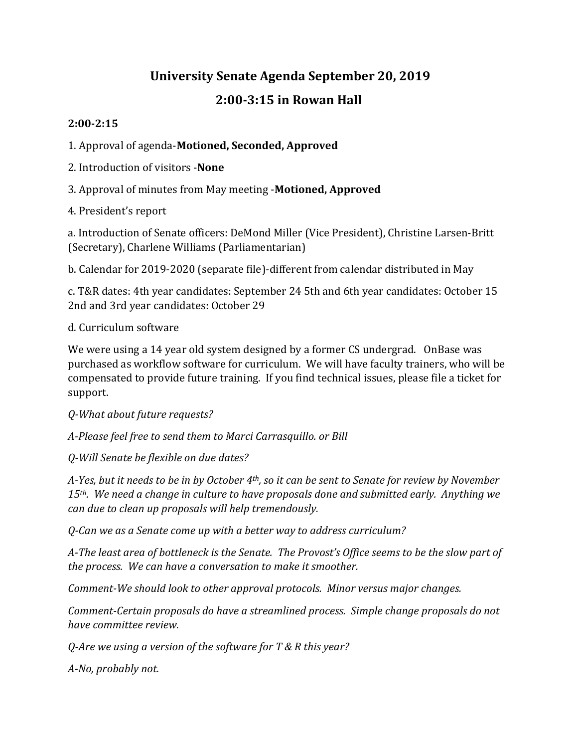# **University Senate Agenda September 20, 2019**

## **2:00-3:15 in Rowan Hall**

## **2:00-2:15**

1. Approval of agenda-**Motioned, Seconded, Approved**

- 2. Introduction of visitors -**None**
- 3. Approval of minutes from May meeting -**Motioned, Approved**
- 4. President's report

a. Introduction of Senate officers: DeMond Miller (Vice President), Christine Larsen-Britt (Secretary), Charlene Williams (Parliamentarian)

b. Calendar for 2019-2020 (separate file)-different from calendar distributed in May

c. T&R dates: 4th year candidates: September 24 5th and 6th year candidates: October 15 2nd and 3rd year candidates: October 29

## d. Curriculum software

We were using a 14 year old system designed by a former CS undergrad. OnBase was purchased as workflow software for curriculum. We will have faculty trainers, who will be compensated to provide future training. If you find technical issues, please file a ticket for support.

*Q-What about future requests?*

*A-Please feel free to send them to Marci Carrasquillo. or Bill* 

*Q-Will Senate be flexible on due dates?*

*A-Yes, but it needs to be in by October 4th, so it can be sent to Senate for review by November 15th. We need a change in culture to have proposals done and submitted early. Anything we can due to clean up proposals will help tremendously.*

*Q-Can we as a Senate come up with a better way to address curriculum?*

*A-The least area of bottleneck is the Senate. The Provost's Office seems to be the slow part of the process. We can have a conversation to make it smoother.* 

*Comment-We should look to other approval protocols. Minor versus major changes.* 

*Comment-Certain proposals do have a streamlined process. Simple change proposals do not have committee review.*

*Q-Are we using a version of the software for T & R this year?*

*A-No, probably not.*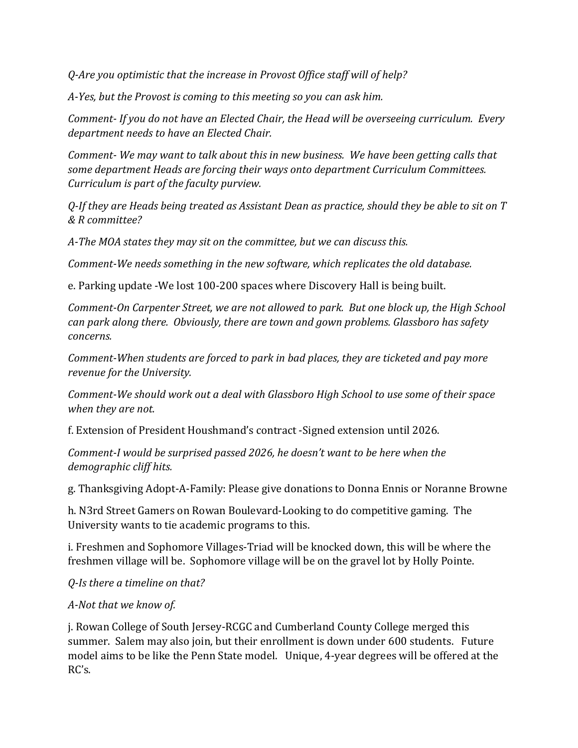*Q-Are you optimistic that the increase in Provost Office staff will of help?*

*A-Yes, but the Provost is coming to this meeting so you can ask him.*

*Comment- If you do not have an Elected Chair, the Head will be overseeing curriculum. Every department needs to have an Elected Chair.* 

*Comment- We may want to talk about this in new business. We have been getting calls that some department Heads are forcing their ways onto department Curriculum Committees. Curriculum is part of the faculty purview.* 

*Q-If they are Heads being treated as Assistant Dean as practice, should they be able to sit on T & R committee?*

*A-The MOA states they may sit on the committee, but we can discuss this.* 

*Comment-We needs something in the new software, which replicates the old database.*

e. Parking update -We lost 100-200 spaces where Discovery Hall is being built.

*Comment-On Carpenter Street, we are not allowed to park. But one block up, the High School can park along there. Obviously, there are town and gown problems. Glassboro has safety concerns.*

*Comment-When students are forced to park in bad places, they are ticketed and pay more revenue for the University.*

*Comment-We should work out a deal with Glassboro High School to use some of their space when they are not.*

f. Extension of President Houshmand's contract -Signed extension until 2026.

*Comment-I would be surprised passed 2026, he doesn't want to be here when the demographic cliff hits.* 

g. Thanksgiving Adopt-A-Family: Please give donations to Donna Ennis or Noranne Browne

h. N3rd Street Gamers on Rowan Boulevard-Looking to do competitive gaming. The University wants to tie academic programs to this.

i. Freshmen and Sophomore Villages-Triad will be knocked down, this will be where the freshmen village will be. Sophomore village will be on the gravel lot by Holly Pointe.

*Q-Is there a timeline on that?*

#### *A-Not that we know of.*

j. Rowan College of South Jersey-RCGC and Cumberland County College merged this summer. Salem may also join, but their enrollment is down under 600 students. Future model aims to be like the Penn State model. Unique, 4-year degrees will be offered at the RC's.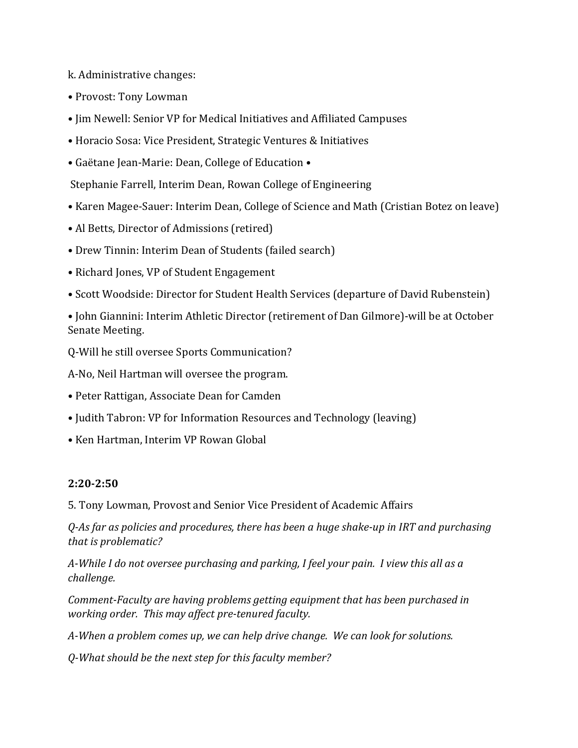k. Administrative changes:

- Provost: Tony Lowman
- Jim Newell: Senior VP for Medical Initiatives and Affiliated Campuses
- Horacio Sosa: Vice President, Strategic Ventures & Initiatives
- Gaëtane Jean-Marie: Dean, College of Education •

Stephanie Farrell, Interim Dean, Rowan College of Engineering

- Karen Magee-Sauer: Interim Dean, College of Science and Math (Cristian Botez on leave)
- Al Betts, Director of Admissions (retired)
- Drew Tinnin: Interim Dean of Students (failed search)
- Richard Jones, VP of Student Engagement
- Scott Woodside: Director for Student Health Services (departure of David Rubenstein)
- John Giannini: Interim Athletic Director (retirement of Dan Gilmore)-will be at October Senate Meeting.

Q-Will he still oversee Sports Communication?

A-No, Neil Hartman will oversee the program.

- Peter Rattigan, Associate Dean for Camden
- Judith Tabron: VP for Information Resources and Technology (leaving)
- Ken Hartman, Interim VP Rowan Global

#### **2:20-2:50**

5. Tony Lowman, Provost and Senior Vice President of Academic Affairs

*Q-As far as policies and procedures, there has been a huge shake-up in IRT and purchasing that is problematic?*

*A-While I do not oversee purchasing and parking, I feel your pain. I view this all as a challenge.* 

*Comment-Faculty are having problems getting equipment that has been purchased in working order. This may affect pre-tenured faculty.* 

*A-When a problem comes up, we can help drive change. We can look for solutions.* 

*Q-What should be the next step for this faculty member?*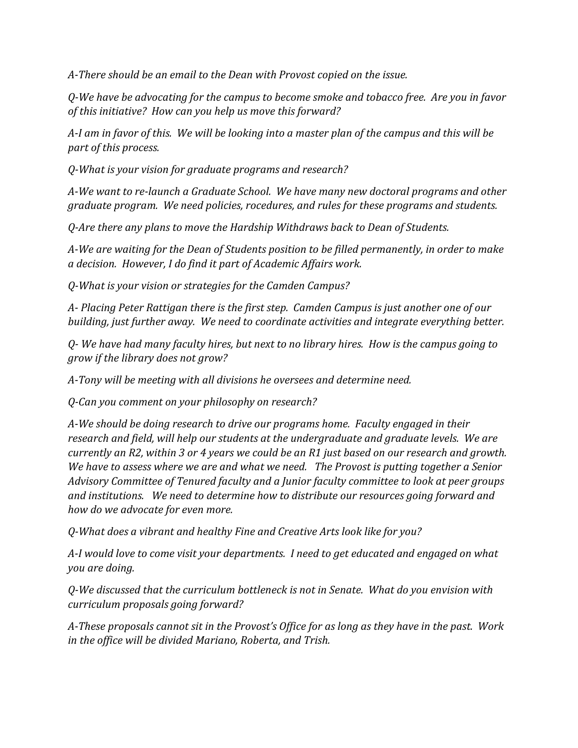*A-There should be an email to the Dean with Provost copied on the issue.*

*Q-We have be advocating for the campus to become smoke and tobacco free. Are you in favor of this initiative? How can you help us move this forward?*

*A-I am in favor of this. We will be looking into a master plan of the campus and this will be part of this process.*

*Q-What is your vision for graduate programs and research?*

*A-We want to re-launch a Graduate School. We have many new doctoral programs and other graduate program. We need policies, rocedures, and rules for these programs and students.*

*Q-Are there any plans to move the Hardship Withdraws back to Dean of Students.*

*A-We are waiting for the Dean of Students position to be filled permanently, in order to make a decision. However, I do find it part of Academic Affairs work.*

*Q-What is your vision or strategies for the Camden Campus?*

*A- Placing Peter Rattigan there is the first step. Camden Campus is just another one of our building, just further away. We need to coordinate activities and integrate everything better.*

*Q- We have had many faculty hires, but next to no library hires. How is the campus going to grow if the library does not grow?*

*A-Tony will be meeting with all divisions he oversees and determine need.*

*Q-Can you comment on your philosophy on research?* 

*A-We should be doing research to drive our programs home. Faculty engaged in their research and field, will help our students at the undergraduate and graduate levels. We are currently an R2, within 3 or 4 years we could be an R1 just based on our research and growth. We have to assess where we are and what we need. The Provost is putting together a Senior Advisory Committee of Tenured faculty and a Junior faculty committee to look at peer groups and institutions. We need to determine how to distribute our resources going forward and how do we advocate for even more.*

*Q-What does a vibrant and healthy Fine and Creative Arts look like for you?*

*A-I would love to come visit your departments. I need to get educated and engaged on what you are doing.*

*Q-We discussed that the curriculum bottleneck is not in Senate. What do you envision with curriculum proposals going forward?*

*A-These proposals cannot sit in the Provost's Office for as long as they have in the past. Work in the office will be divided Mariano, Roberta, and Trish.*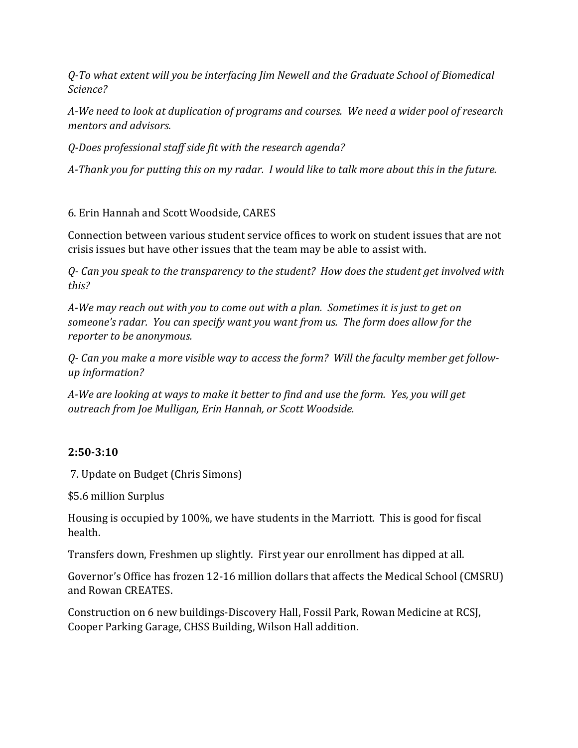*Q-To what extent will you be interfacing Jim Newell and the Graduate School of Biomedical Science?*

*A-We need to look at duplication of programs and courses. We need a wider pool of research mentors and advisors.* 

*Q-Does professional staff side fit with the research agenda?*

*A-Thank you for putting this on my radar. I would like to talk more about this in the future.*

## 6. Erin Hannah and Scott Woodside, CARES

Connection between various student service offices to work on student issues that are not crisis issues but have other issues that the team may be able to assist with.

*Q- Can you speak to the transparency to the student? How does the student get involved with this?*

*A-We may reach out with you to come out with a plan. Sometimes it is just to get on someone's radar. You can specify want you want from us. The form does allow for the reporter to be anonymous.* 

*Q- Can you make a more visible way to access the form? Will the faculty member get followup information?*

*A-We are looking at ways to make it better to find and use the form. Yes, you will get outreach from Joe Mulligan, Erin Hannah, or Scott Woodside.* 

#### **2:50-3:10**

7. Update on Budget (Chris Simons)

\$5.6 million Surplus

Housing is occupied by 100%, we have students in the Marriott. This is good for fiscal health.

Transfers down, Freshmen up slightly. First year our enrollment has dipped at all.

Governor's Office has frozen 12-16 million dollars that affects the Medical School (CMSRU) and Rowan CREATES.

Construction on 6 new buildings-Discovery Hall, Fossil Park, Rowan Medicine at RCSJ, Cooper Parking Garage, CHSS Building, Wilson Hall addition.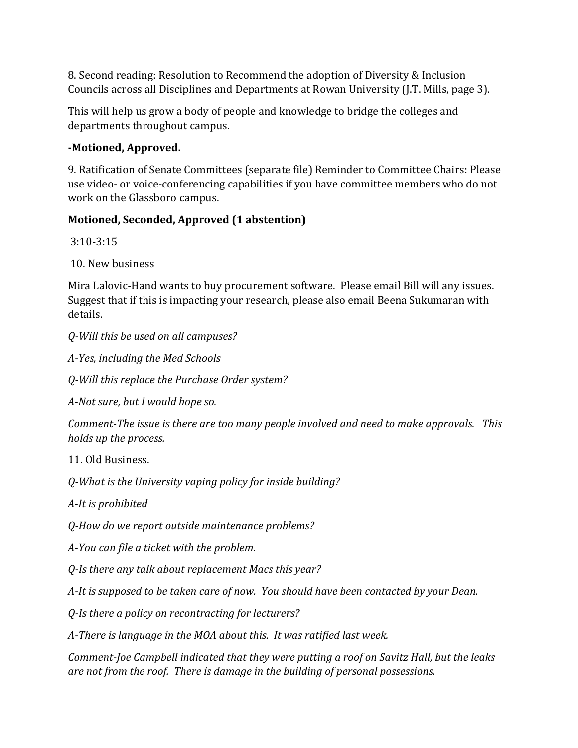8. Second reading: Resolution to Recommend the adoption of Diversity & Inclusion Councils across all Disciplines and Departments at Rowan University (J.T. Mills, page 3).

This will help us grow a body of people and knowledge to bridge the colleges and departments throughout campus.

#### **-Motioned, Approved.**

9. Ratification of Senate Committees (separate file) Reminder to Committee Chairs: Please use video- or voice-conferencing capabilities if you have committee members who do not work on the Glassboro campus.

## **Motioned, Seconded, Approved (1 abstention)**

3:10-3:15

10. New business

Mira Lalovic-Hand wants to buy procurement software. Please email Bill will any issues. Suggest that if this is impacting your research, please also email Beena Sukumaran with details.

*Q-Will this be used on all campuses?*

*A-Yes, including the Med Schools*

*Q-Will this replace the Purchase Order system?*

*A-Not sure, but I would hope so.* 

*Comment-The issue is there are too many people involved and need to make approvals. This holds up the process.* 

11. Old Business.

*Q-What is the University vaping policy for inside building?*

*A-It is prohibited* 

*Q-How do we report outside maintenance problems?*

*A-You can file a ticket with the problem.*

*Q-Is there any talk about replacement Macs this year?*

*A-It is supposed to be taken care of now. You should have been contacted by your Dean.* 

*Q-Is there a policy on recontracting for lecturers?*

*A-There is language in the MOA about this. It was ratified last week.* 

*Comment-Joe Campbell indicated that they were putting a roof on Savitz Hall, but the leaks are not from the roof. There is damage in the building of personal possessions.*